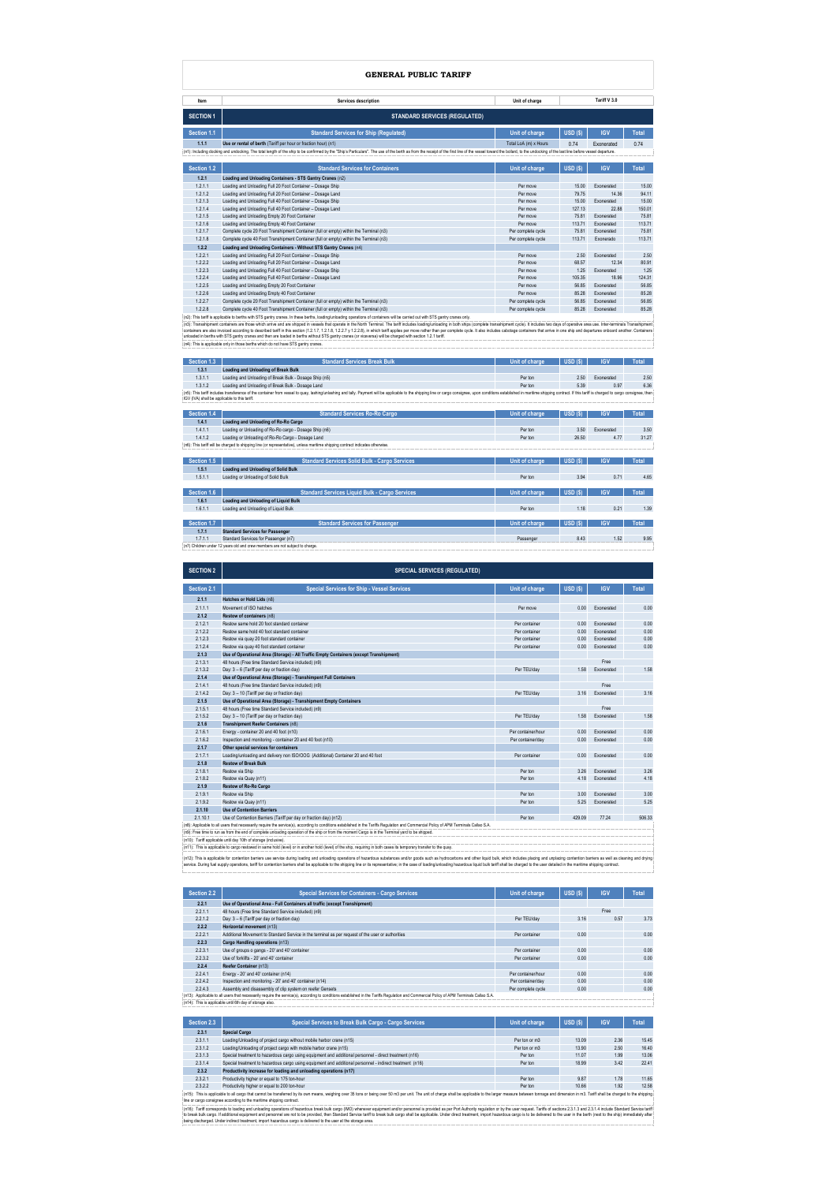| Item                                                                                                                                                                                                                          | Services description                                                                                                                                                                                                           | Unit of charge        |            | Tariff V 3.0 |              |  |
|-------------------------------------------------------------------------------------------------------------------------------------------------------------------------------------------------------------------------------|--------------------------------------------------------------------------------------------------------------------------------------------------------------------------------------------------------------------------------|-----------------------|------------|--------------|--------------|--|
| <b>SECTION 1</b>                                                                                                                                                                                                              | <b>STANDARD SERVICES (REGULATED)</b>                                                                                                                                                                                           |                       |            |              |              |  |
| Section 1.1                                                                                                                                                                                                                   | <b>Standard Services for Ship (Regulated)</b>                                                                                                                                                                                  | Unit of charge        | $USD($ \$) | <b>IGV</b>   | <b>Total</b> |  |
| 1.1.1                                                                                                                                                                                                                         | Use or rental of berth (Tariff per hour or fraction hour) (n1)                                                                                                                                                                 | Total LoA (m) x Hours | 0.74       | Exonerated   | 0.74         |  |
|                                                                                                                                                                                                                               | (n1): Including docking and undocking. The total length of the ship to be confirmed by the "Ship's Particulars". The use of the berth as from the receipt of the first line of the vessel toward the bollard, to the undocking |                       |            |              |              |  |
|                                                                                                                                                                                                                               |                                                                                                                                                                                                                                |                       |            |              |              |  |
| Section 1.2                                                                                                                                                                                                                   | <b>Standard Services for Containers</b>                                                                                                                                                                                        | Unit of charge        | $USD($ \$) | <b>IGV</b>   | <b>Total</b> |  |
| 1.2.1                                                                                                                                                                                                                         | Loading and Unloading Containers - STS Gantry Cranes (n2)                                                                                                                                                                      |                       |            |              |              |  |
| 1.2.1.1                                                                                                                                                                                                                       | Loading and Unloading Full 20 Foot Container - Dosage Ship                                                                                                                                                                     | Per move              | 15.00      | Exonerated   | 15.00        |  |
| 1.2.1.2                                                                                                                                                                                                                       | Loading and Unloading Full 20 Foot Container - Dosage Land                                                                                                                                                                     | Per move              | 79.75      | 14.36        | 94.11        |  |
| 1.2.1.3                                                                                                                                                                                                                       | Loading and Unloading Full 40 Foot Container - Dosage Ship                                                                                                                                                                     | Per move              | 15.00      | Exonerated   | 15.00        |  |
| 1.2.1.4                                                                                                                                                                                                                       | Loading and Unloading Full 40 Foot Container - Dosage Land                                                                                                                                                                     | Per move              | 127.13     | 22.88        | 150.01       |  |
| 1.2.1.5                                                                                                                                                                                                                       | Loading and Unloading Empty 20 Foot Container                                                                                                                                                                                  | Per move              | 75.81      | Exonerated   | 75.81        |  |
| 1.2.1.6                                                                                                                                                                                                                       | Loading and Unloading Empty 40 Foot Container                                                                                                                                                                                  | Per move              | 113.71     | Exonerated   | 113.71       |  |
| 1.2.1.7                                                                                                                                                                                                                       | Complete cycle 20 Foot Transhipment Container (full or empty) within the Terminal (n3)                                                                                                                                         | Per complete cycle    | 75.81      | Exonerated   | 75.81        |  |
| 1.2.1.8                                                                                                                                                                                                                       | Complete cycle 40 Foot Transhipment Container (full or empty) within the Terminal (n3)                                                                                                                                         | Per complete cycle    | 113.71     | Exonerado    | 113.71       |  |
| 1.2.2                                                                                                                                                                                                                         | Loading and Unloading Containers - Without STS Gantry Cranes (n4)                                                                                                                                                              |                       |            |              |              |  |
| 1.2.2.1                                                                                                                                                                                                                       | Loading and Unloading Full 20 Foot Container - Dosage Ship                                                                                                                                                                     | Per move              | 2.50       | Exonerated   | 2.50         |  |
| 1.2.2.2                                                                                                                                                                                                                       | Loading and Unloading Full 20 Foot Container - Dosage Land                                                                                                                                                                     | Per move              | 68.57      | 12.34        | 80.91        |  |
| 1.2.2.3                                                                                                                                                                                                                       | Loading and Unloading Full 40 Foot Container - Dosage Ship                                                                                                                                                                     | Per move              | 1.25       | Exonerated   | 1.25         |  |
| 1.2.2.4                                                                                                                                                                                                                       | Loading and Unloading Full 40 Foot Container - Dosage Land                                                                                                                                                                     | Per move              | 105.35     | 18.96        | 124.31       |  |
| 1.2.2.5                                                                                                                                                                                                                       | Loading and Unloading Empty 20 Foot Container                                                                                                                                                                                  | Per move              | 56.85      | Exonerated   | 56.85        |  |
| 1.2.2.6                                                                                                                                                                                                                       | Loading and Unloading Empty 40 Foot Container                                                                                                                                                                                  | Per move              | 85.28      | Exonerated   | 85.28        |  |
| 1.2.2.7                                                                                                                                                                                                                       | Complete cycle 20 Foot Transhipment Container (full or empty) within the Terminal (n3)                                                                                                                                         | Per complete cycle    | 56.85      | Exonerated   | 56.85        |  |
| 1.2.2.8                                                                                                                                                                                                                       | Complete cycle 40 Foot Transhipment Container (full or empty) within the Terminal (n3)                                                                                                                                         | Per complete cycle    | 85.28      | Exonerated   | 85.28        |  |
|                                                                                                                                                                                                                               | (n2): This tariff is applicable to berths with STS gantry cranes. In these berths, loading/unloading operations of containers will be carried out with STS gantry cranes only.                                                 |                       |            |              |              |  |
| (n3): Transshipment containers are those which arrive and are shipped in vessels that operate in the North Terminal. The tariff includes loading/unloading in both ships (complete transshipment cycle). It includes two days |                                                                                                                                                                                                                                |                       |            |              |              |  |

(n3): Transshipment containers are those which arrive and are shipped in vessels that operate in the North Terminal. The tariff includes loading/unloading in both ships (complete transshipment ovcle). It includes two days

1.52 Bessenger 8.43 1.52 9.95 (n7) Children under 12 years old and crew members are not subject to charge.

| Section 1.4 | <b>Standard Services Ro-Ro Cargo</b>                                                                                           | Unit of charge        | USD(S)            | <b>IGV</b> | <b>Total</b> |
|-------------|--------------------------------------------------------------------------------------------------------------------------------|-----------------------|-------------------|------------|--------------|
| 1.4.1       | Loading and Unloading of Ro-Ro Cargo                                                                                           |                       |                   |            |              |
| 1.4.1.1     | Loading or Unloading of Ro-Ro cargo - Dosage Ship (n6)                                                                         | Per ton               | 3.50              | Exonerated | 3.50         |
| 1.4.1.2     | Loading or Unloading of Ro-Ro Cargo - Dosage Land                                                                              | Per ton               | 26.50             | 4.77       | 31.27        |
|             | (n6): This tariff will be charged to shipping line (or representative), unless maritime shipping contract indicates otherwise. |                       |                   |            |              |
|             |                                                                                                                                |                       |                   |            |              |
| Section 1.5 | <b>Standard Services Solid Bulk - Cargo Services</b>                                                                           | <b>Unit of charge</b> | USD(S)            | <b>IGV</b> | <b>Total</b> |
| 1.5.1       | <b>Loading and Unloading of Solid Bulk</b>                                                                                     |                       |                   |            |              |
| 1.5.1.1     | Loading or Unloading of Solid Bulk                                                                                             | Per ton               | 3.94              | 0.71       | 4.65         |
|             |                                                                                                                                |                       |                   |            |              |
| Section 1.6 | <b>Standard Services Liquid Bulk - Cargo Services</b>                                                                          | Unit of charge        | USD(S)            | <b>IGV</b> | <b>Total</b> |
| 1.6.1       | <b>Loading and Unloading of Liquid Bulk</b>                                                                                    |                       |                   |            |              |
| 1.6.1.1     | Loading and Unloading of Liquid Bulk                                                                                           | Per ton               | 1.18              | 0.21       | 1.39         |
|             |                                                                                                                                |                       |                   |            |              |
| Section 1.7 | <b>Standard Services for Passenger</b>                                                                                         | Unit of charge        | <b>USD</b><br>7S) | <b>IGV</b> | Total        |
| 1.7.1       | <b>Standard Services for Passenger</b>                                                                                         |                       |                   |            |              |

| Section 1.3 | <b>Standard Services Break Bulk</b>                                                                                                                                                                                            | Unit of charge | USD (S) | IGV        | Total |  |  |
|-------------|--------------------------------------------------------------------------------------------------------------------------------------------------------------------------------------------------------------------------------|----------------|---------|------------|-------|--|--|
| 1.3.1       | Loading and Unloading of Break Bulk                                                                                                                                                                                            |                |         |            |       |  |  |
| 1.3.1.1     | Loading and Unloading of Break Bulk - Dosage Ship (n5)                                                                                                                                                                         | Per ton        | 2.50    | Exonerated | 2.50  |  |  |
| 1.3.1.2     | Loading and Unloading of Break Bulk - Dosage Land                                                                                                                                                                              | Per ton        | 5.39    | 0.97       | 6.36  |  |  |
|             | : (n5): This tariff includes transference of the container from vessel to quay, lashing/unlashing and tally. Payment will be applicable to the shipping line or cargo consignee, upon conditions established in maritime shipp |                |         |            |       |  |  |
|             | IGV (IVA) shall be applicable to this tariff.                                                                                                                                                                                  |                |         |            |       |  |  |

| Section 2.3 | Special Services to Break Bulk Cargo - Cargo Services                                                    | Unit of charge | USD(S) | <b>IGV</b> | <b>Total</b> |
|-------------|----------------------------------------------------------------------------------------------------------|----------------|--------|------------|--------------|
| 2.3.1       | <b>Special Cargo</b>                                                                                     |                |        |            |              |
| 2.3.1.1     | Loading/Unloading of project cargo without mobile harbor crane (n15)                                     | Per ton or m3  | 13.09  | 2.36       | 15.45        |
| 2.3.1.2     | Loading/Unloading of project cargo with mobile harbor crane (n15)                                        | Per ton or m3  | 13.90  | 2.50       | 16.40        |
| 2.3.1.3     | Special treatment to hazardous cargo using equipment and additional personnel - direct treatment (n16)   | Per ton        | 11.07  | 1.99       | 13.06        |
| 2.3.1.4     | Special treatment to hazardous cargo using equipment and additional personnel - indirect treatment (n16) | Per ton        | 18.99  | 3.42       | 22.41        |
| 2.3.2       | Productivity increase for loading and unloading operations (n17)                                         |                |        |            |              |
| 2.3.2.1     | Productivity higher or equal to 175 ton-hour                                                             | Per ton        | 9.87   | 1.78       | 11.65        |
| 2.3.2.2     | Productivity higher or equal to 200 ton-hour                                                             | Per ton        | 10.66  | 1.92       | 12.58        |

2.3.22 Productivity higher or equal to 200 ton-hour<br>(n15): This applicable to all cargo that carnot be transferred by its own means, weighing over 35 tons or being over 50 m3 per unit. The unit of charge shall be applicabl

(n16): Tariff corresponds to loading and unloading operations of hazardous break bulk cargo (IMO) whenever equipment and/or personnel is provided as per Port Authority regulation or by the user request. Tariffs of sections

| <b>SECTION 2</b> | <b>SPECIAL SERVICES (REGULATED)</b>                                                                                                                                                                                                                                                                                                                                                                                                                              |                    |            |            |              |
|------------------|------------------------------------------------------------------------------------------------------------------------------------------------------------------------------------------------------------------------------------------------------------------------------------------------------------------------------------------------------------------------------------------------------------------------------------------------------------------|--------------------|------------|------------|--------------|
| Section 2.1      | <b>Special Services for Ship - Vessel Services</b>                                                                                                                                                                                                                                                                                                                                                                                                               | Unit of charge     | $USD($ \$) | <b>IGV</b> | <b>Total</b> |
| 2.1.1            | Hatches or Hold Lids (n8)                                                                                                                                                                                                                                                                                                                                                                                                                                        |                    |            |            |              |
| 2.1.1.1          | Movement of ISO hatches                                                                                                                                                                                                                                                                                                                                                                                                                                          | Per move           | 0.00       | Exonerated | 0.00         |
| 2.1.2            | Restow of containers (n8)                                                                                                                                                                                                                                                                                                                                                                                                                                        |                    |            |            |              |
| 2.1.2.1          | Restow same hold 20 foot standard container                                                                                                                                                                                                                                                                                                                                                                                                                      | Per container      | 0.00       | Exonerated | 0.00         |
| 2.1.2.2          | Restow same hold 40 foot standard container                                                                                                                                                                                                                                                                                                                                                                                                                      | Per container      | 0.00       | Exonerated | 0.00         |
| 2.1.2.3          | Restow via quay 20 foot standard container                                                                                                                                                                                                                                                                                                                                                                                                                       | Per container      | 0.00       | Exonerated | 0.00         |
| 2.1.2.4          | Restow via quay 40 foot standard container                                                                                                                                                                                                                                                                                                                                                                                                                       | Per container      | 0.00       | Exonerated | 0.00         |
| 2.1.3            | Use of Operational Area (Storage) - All Traffic Empty Containers (except Transhipment)                                                                                                                                                                                                                                                                                                                                                                           |                    |            |            |              |
| 2.1.3.1          | 48 hours (Free time Standard Service included) (n9)                                                                                                                                                                                                                                                                                                                                                                                                              |                    |            | Free       |              |
| 2.1.3.2          | Day: 3 - 6 (Tariff per day or fraction day)                                                                                                                                                                                                                                                                                                                                                                                                                      | Per TEU/day        | 1.58       | Exonerated | 1.58         |
| 2.1.4            | Use of Operational Area (Storage) - Transhimpent Full Containers                                                                                                                                                                                                                                                                                                                                                                                                 |                    |            |            |              |
| 2.1.4.1          | 48 hours (Free time Standard Service included) (n9)                                                                                                                                                                                                                                                                                                                                                                                                              |                    |            | Free       |              |
| 2.1.4.2          | Day: 3 - 10 (Tariff per day or fraction day)                                                                                                                                                                                                                                                                                                                                                                                                                     | Per TEU/day        | 3.16       | Exonerated | 3.16         |
| 2.1.5            | Use of Operational Area (Storage) - Transhipment Empty Containers                                                                                                                                                                                                                                                                                                                                                                                                |                    |            |            |              |
| 2.1.5.1          | 48 hours (Free time Standard Service included) (n9)                                                                                                                                                                                                                                                                                                                                                                                                              |                    |            | Free       |              |
| 2.1.5.2          | Day: 3 - 10 (Tariff per day or fraction day)                                                                                                                                                                                                                                                                                                                                                                                                                     | Per TEU/day        | 1.58       | Exonerated | 1.58         |
| 2.1.6            | Transhipment Reefer Containers (n8)                                                                                                                                                                                                                                                                                                                                                                                                                              |                    |            |            |              |
| 2.1.6.1          | Energy - container 20 and 40 foot (n10)                                                                                                                                                                                                                                                                                                                                                                                                                          | Per container/hour | 0.00       | Exonerated | 0.00         |
| 2.1.6.2          | Inspection and monitoring - container 20 and 40 foot (n10)                                                                                                                                                                                                                                                                                                                                                                                                       | Per container/day  | 0.00       | Exonerated | 0.00         |
| 2.1.7            | Other special services for containers                                                                                                                                                                                                                                                                                                                                                                                                                            |                    |            |            |              |
| 2.1.7.1          | Loading/unloading and delivery non ISO/OOG (Additional) Container 20 and 40 foot                                                                                                                                                                                                                                                                                                                                                                                 | Per container      | 0.00       | Exonerated | 0.00         |
| 2.1.8            | <b>Restow of Break Bulk</b>                                                                                                                                                                                                                                                                                                                                                                                                                                      |                    |            |            |              |
| 2.1.8.1          | Restow via Ship                                                                                                                                                                                                                                                                                                                                                                                                                                                  | Per ton            | 3.26       | Exonerated | 3.26         |
| 2.1.8.2          | Restow via Quay (n11)                                                                                                                                                                                                                                                                                                                                                                                                                                            | Per ton            | 4.18       | Exonerated | 4.18         |
| 2.1.9            | <b>Restow of Ro-Ro Cargo</b>                                                                                                                                                                                                                                                                                                                                                                                                                                     |                    |            |            |              |
| 2.1.9.1          | Restow via Ship                                                                                                                                                                                                                                                                                                                                                                                                                                                  | Per ton            | 3.00       | Exonerated | 3.00         |
| 2.1.9.2          | Restow via Quay (n11)                                                                                                                                                                                                                                                                                                                                                                                                                                            | Per ton            | 5.25       | Exonerated | 5.25         |
| 2.1.10           | <b>Use of Contention Barriers</b>                                                                                                                                                                                                                                                                                                                                                                                                                                |                    |            |            |              |
| 2.1.10.1         | Use of Contention Barriers (Tariff per day or fraction day) (n12)                                                                                                                                                                                                                                                                                                                                                                                                | Per ton            | 429.09     | 77.24      | 506.33       |
|                  | (n8): Applicable to all users that necessarily require the service(s), according to conditions established in the Tariffs Regulation and Commercial Policy of APM Terminals Callao S.A.                                                                                                                                                                                                                                                                          |                    |            |            |              |
|                  | (n9): Free time to run as from the end of complete unloading operation of the ship or from the moment Cargo is in the Terminal yard to be shipped.                                                                                                                                                                                                                                                                                                               |                    |            |            |              |
|                  | (n10): Tariff applicable until day 10th of storage (inclusive).                                                                                                                                                                                                                                                                                                                                                                                                  |                    |            |            |              |
|                  | (n11): This is applicable to cargo restowed in same hold (level) or in another hold (level) of the ship, requiring in both cases its temporary transfer to the quay.                                                                                                                                                                                                                                                                                             |                    |            |            |              |
|                  | (n12): This is applicable for contention barriers use service during loading and unloading operations of hazardous substances and/or goods such as hydrocarbons and other liguid bulk, which includes placing and unplacing co<br>service. During fuel supply operations, tariff for contention barriers shall be applicable to the shipping line or its representative; in the case of loading/unloading hazardous liquid bulk tariff shall be charged to the u |                    |            |            |              |

# **GENERAL PUBLIC TARIFF**

| Section 2.2                                                                                                                                                                              | <b>Special Services for Containers - Cargo Services</b>                                           | Unit of charge     | USD(S) | <b>IGV</b> | Total |  |
|------------------------------------------------------------------------------------------------------------------------------------------------------------------------------------------|---------------------------------------------------------------------------------------------------|--------------------|--------|------------|-------|--|
| 2.2.1                                                                                                                                                                                    | Use of Operational Area - Full Containers all traffic (except Transhipment)                       |                    |        |            |       |  |
| 2.2.1.1                                                                                                                                                                                  | 48 hours (Free time Standard Service included) (n9)                                               |                    |        | Free       |       |  |
| 2.2.1.2                                                                                                                                                                                  | Day: 3 - 6 (Tariff per day or fraction day)                                                       | Per TEU/dav        | 3.16   | 0.57       | 3.73  |  |
| 2.2.2                                                                                                                                                                                    | Horizontal movement (n13)                                                                         |                    |        |            |       |  |
| 2.2.2.1                                                                                                                                                                                  | Additional Movement to Standard Service in the terminal as per request of the user or authorities | Per container      | 0.00   |            | 0.00  |  |
| 2.2.3                                                                                                                                                                                    | Cargo Handling operations (n13)                                                                   |                    |        |            |       |  |
| 2.2.3.1                                                                                                                                                                                  | Use of groups o gangs - 20' and 40' container                                                     | Per container      | 0.00   |            | 0.00  |  |
| 2.2.3.2                                                                                                                                                                                  | Use of forklifts - 20' and 40' container                                                          | Per container      | 0.00   |            | 0.00  |  |
| 2.2.4                                                                                                                                                                                    | Reefer Container (n13)                                                                            |                    |        |            |       |  |
| 2.2.4.1                                                                                                                                                                                  | Energy - 20' and 40' container (n14)                                                              | Per container/hour | 0.00   |            | 0.00  |  |
| 2.2.4.2                                                                                                                                                                                  | Inspection and monitoring - 20' and 40' container (n14)                                           | Per container/day  | 0.00   |            | 0.00  |  |
| 2.2.4.3                                                                                                                                                                                  | Assembly and disassembly of clip system on reefer Gensets                                         | Per complete cycle | 0.00   |            | 0.00  |  |
| (n13): Applicable to all users that necessarily require the service(s), according to conditions established in the Tariffs Regulation and Commercial Policy of APM Terminals Callao S.A. |                                                                                                   |                    |        |            |       |  |
| (n14): This is applicable until 6th day of storage also.                                                                                                                                 |                                                                                                   |                    |        |            |       |  |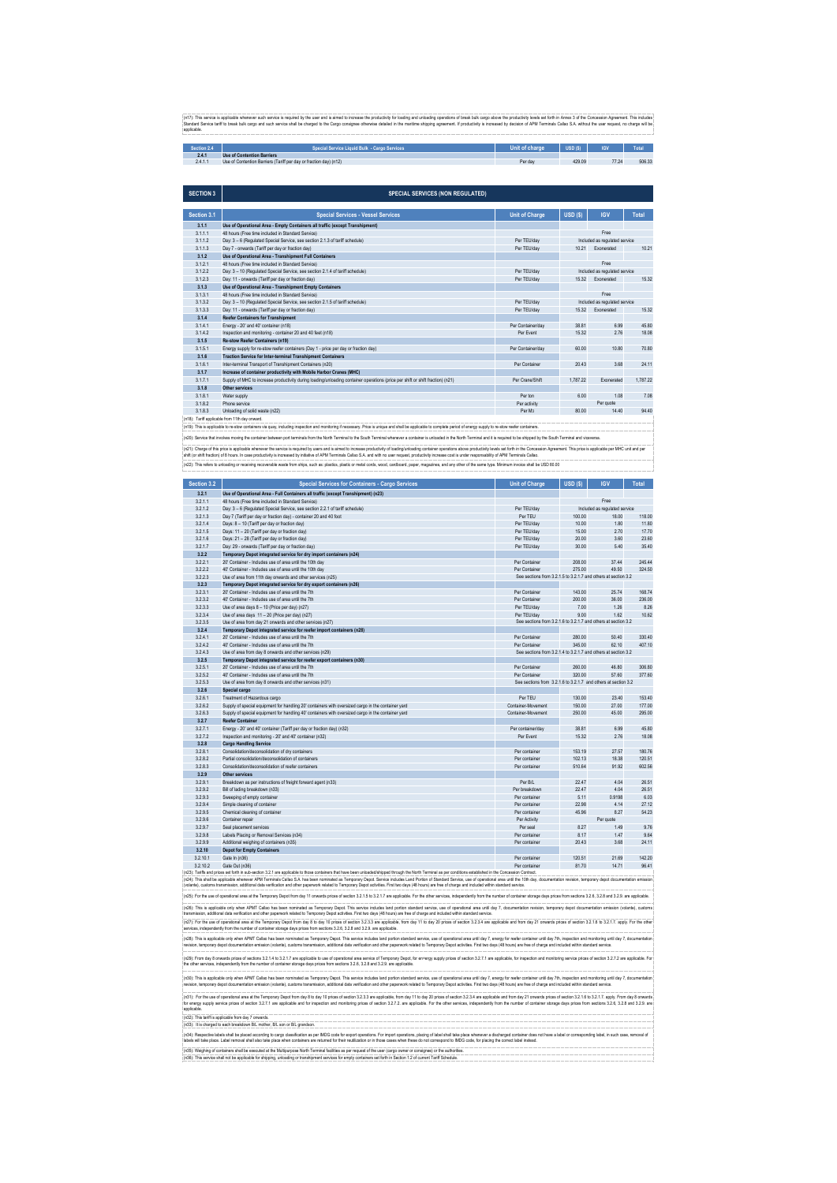(n17): This service is applicable whenever such service is required by the user and is aimed to increase the productivity for loading and unloading operations of break bulk cargo above the productivity levels set forth in

| Section 2. | cial Service Liquid Bulk  - Cargo Services                        | t of charde | <b>USD (S)</b> | <b>IGV</b> | Total  |
|------------|-------------------------------------------------------------------|-------------|----------------|------------|--------|
| Z.4. I     | <b>Use of Contention Barriers</b>                                 |             |                |            |        |
| 2.4.1.1    | Use of Contention Barriers (Tariff per day or fraction day) (n12) | Per dav     | 429.09         | 77.24      | 506.33 |

| <b>SECTION 3</b> | <b>SPECIAL SERVICES (NON REGULATED)</b>                                                                                                                                                                                                                                                                                                                                                                                                                     |                       |                               |                               |              |  |
|------------------|-------------------------------------------------------------------------------------------------------------------------------------------------------------------------------------------------------------------------------------------------------------------------------------------------------------------------------------------------------------------------------------------------------------------------------------------------------------|-----------------------|-------------------------------|-------------------------------|--------------|--|
|                  |                                                                                                                                                                                                                                                                                                                                                                                                                                                             |                       |                               |                               |              |  |
| Section 3.1      | <b>Special Services - Vessel Services</b>                                                                                                                                                                                                                                                                                                                                                                                                                   | <b>Unit of Charge</b> | USD(S)                        | <b>IGV</b>                    | <b>Total</b> |  |
| 3.1.1            | Use of Operational Area - Empty Containers all traffic (except Transhipment)                                                                                                                                                                                                                                                                                                                                                                                |                       |                               |                               |              |  |
| 3.1.1.1          | 48 hours (Free time included in Standard Service)                                                                                                                                                                                                                                                                                                                                                                                                           |                       |                               | Free                          |              |  |
| 3.1.1.2          | Day: 3 - 6 (Regulated Special Service, see section 2.1.3 of tariff schedule)                                                                                                                                                                                                                                                                                                                                                                                | Per TEU/day           |                               | Included as regulated service |              |  |
| 3.1.1.3          | Day 7 - onwards (Tariff per day or fraction day)                                                                                                                                                                                                                                                                                                                                                                                                            | Per TEU/dav           | 10.21                         | Exonerated                    | 10.21        |  |
| 3.1.2            | Use of Operational Area - Transhipment Full Containers                                                                                                                                                                                                                                                                                                                                                                                                      |                       |                               |                               |              |  |
| 3.1.2.1          | 48 hours (Free time included in Standard Service)                                                                                                                                                                                                                                                                                                                                                                                                           |                       |                               | Free                          |              |  |
| 3.1.2.2          | Day: 3 - 10 (Regulated Special Service, see section 2.1.4 of tariff schedule)                                                                                                                                                                                                                                                                                                                                                                               | Per TEU/dav           |                               | Included as regulated service |              |  |
| 3.1.2.3          | Day: 11 - onwards (Tariff per day or fraction day)                                                                                                                                                                                                                                                                                                                                                                                                          | Per TEU/dav           | 15.32                         | Exonerated                    | 15.32        |  |
| 3.1.3            | Use of Operational Area - Transhipment Empty Containers                                                                                                                                                                                                                                                                                                                                                                                                     |                       |                               |                               |              |  |
| 3.1.3.1          | 48 hours (Free time included in Standard Service)                                                                                                                                                                                                                                                                                                                                                                                                           |                       | Free                          |                               |              |  |
| 3.1.3.2          | Day: 3 - 10 (Regulated Special Service, see section 2.1.5 of tariff schedule)                                                                                                                                                                                                                                                                                                                                                                               | Per TEU/day           | Included as regulated service |                               |              |  |
| 3.1.3.3          | Day: 11 - onwards (Tariff per day or fraction day)                                                                                                                                                                                                                                                                                                                                                                                                          | Per TEU/day           | 15.32                         | Exonerated                    | 15.32        |  |
| 3.1.4            | <b>Reefer Containers for Transhipment</b>                                                                                                                                                                                                                                                                                                                                                                                                                   |                       |                               |                               |              |  |
| 3.1.4.1          | Energy - 20' and 40' container (n18)                                                                                                                                                                                                                                                                                                                                                                                                                        | Per Container/day     | 38.81                         | 6.99                          | 45.80        |  |
| 3.1.4.2          | Inspection and monitoring - container 20 and 40 feet (n18)                                                                                                                                                                                                                                                                                                                                                                                                  | Per Event             | 15.32                         | 2.76                          | 18.08        |  |
| 3.1.5            | <b>Re-stow Reefer Containers (n19)</b>                                                                                                                                                                                                                                                                                                                                                                                                                      |                       |                               |                               |              |  |
| 3.1.5.1          | Energy supply for re-stow reefer containers (Day 1 - price per day or fraction day)                                                                                                                                                                                                                                                                                                                                                                         | Per Container/day     | 60.00                         | 10.80                         | 70.80        |  |
| 3.1.6            | <b>Traction Service for Inter-terminal Transhipment Containers</b>                                                                                                                                                                                                                                                                                                                                                                                          |                       |                               |                               |              |  |
| 3.1.6.1          | Inter-terminal Transport of Transhipment Containers (n20)                                                                                                                                                                                                                                                                                                                                                                                                   | Per Container         | 20.43                         | 3.68                          | 24.11        |  |
| 3.1.7            | Increase of container productivity with Mobile Harbor Cranes (MHC)                                                                                                                                                                                                                                                                                                                                                                                          |                       |                               |                               |              |  |
| 3.1.7.1          | Supply of MHC to increase productivity during loading/unloading container operations (price per shift or shift fraction) (n21)                                                                                                                                                                                                                                                                                                                              | Per Crane/Shift       | 1,787.22                      | Exonerated                    | 1.787.22     |  |
| 3.1.8            | <b>Other services</b>                                                                                                                                                                                                                                                                                                                                                                                                                                       |                       |                               |                               |              |  |
| 3.1.8.1          | Water supply                                                                                                                                                                                                                                                                                                                                                                                                                                                | Per ton               | 6.00                          | 1.08                          | 7.08         |  |
| 3.1.8.2          | Phone service                                                                                                                                                                                                                                                                                                                                                                                                                                               | Per activity          |                               | Per quote                     |              |  |
| 3.1.8.3          | Unloading of solid waste (n22)                                                                                                                                                                                                                                                                                                                                                                                                                              | Per M <sub>3</sub>    | 80.00                         | 14.40                         | 94.40        |  |
|                  | (n18): Tariff applicable from 11th day onward.                                                                                                                                                                                                                                                                                                                                                                                                              |                       |                               |                               |              |  |
|                  | (n19): This is applicable to re-stow containers via quay, including inspection and monitoring if necessary. Price is unique and shall be applicable to complete period of energy supply to re-stow reefer containers.                                                                                                                                                                                                                                       |                       |                               |                               |              |  |
|                  | (n20): Service that involves moving the container between port terminals from the North Terminal to the South Terminal whenever a container is unloaded in the North Terminal and it is required to be shipped by the South Te                                                                                                                                                                                                                              |                       |                               |                               |              |  |
|                  |                                                                                                                                                                                                                                                                                                                                                                                                                                                             |                       |                               |                               |              |  |
|                  | (n21): Charge of this price is applicable whenever the service is required by users and is aimed to increase productivity of loading/unloading container operations above productivity levels set forth in the Concession Agre<br>chift (or chift fraction) of 8 hours. In ease productivity is increased by initiative of ADM Torminals Callas S.A. and with no year request, productivity increases east is under reconnectivity of ADM Torminals Callas. |                       |                               |                               |              |  |

(n22): This refers to unloading or receiving recoverable waste from ships, such as: plastics, plastic or metal cords, wood, cardboard, paper, magazines, and any other of the same type. Minimum invoice shall be USD 80.00 ctivity is increased by initiative of APM Terminals Callao S.A. and with no user request, productivity inc<br>.

| Section 3.2 | <b>Special Services for Containers - Cargo Services</b>                                                                                                                                                          | <b>Unit of Charge</b>                                          | $USD($ \$) | <b>IGV</b>                    | Total  |
|-------------|------------------------------------------------------------------------------------------------------------------------------------------------------------------------------------------------------------------|----------------------------------------------------------------|------------|-------------------------------|--------|
| 3.2.1       | Use of Operational Area - Full Containers all traffic (except Transhipment) (n23)                                                                                                                                |                                                                |            |                               |        |
| 3.2.1.1     | 48 hours (Free time included in Standard Service)                                                                                                                                                                |                                                                |            | Free                          |        |
| 3.2.1.2     | Day: 3 - 6 (Regulated Special Service, see section 2.2.1 of tariff schedule)                                                                                                                                     | Per TEU/day                                                    |            | Included as regulated service |        |
| 3.2.1.3     | Day 7 (Tariff per day or fraction day) - container 20 and 40 foot                                                                                                                                                | Per TEU                                                        | 100.00     | 18.00                         | 118.00 |
| 3.2.1.4     | Days: 8 - 10 (Tariff per day or fraction day)                                                                                                                                                                    | Per TEU/day                                                    | 10.00      | 1.80                          | 11.80  |
| 3.2.1.5     | Days: 11 - 20 (Tariff per day or fraction day)                                                                                                                                                                   | Per TEU/dav                                                    | 15.00      | 2.70                          | 17.70  |
| 3.2.1.6     | Days: 21 - 28 (Tariff per day or fraction day)                                                                                                                                                                   | Per TEU/day                                                    | 20.00      | 3.60                          | 23.60  |
| 3.2.1.7     | Day: 29 - onwards (Tariff per day or fraction day)                                                                                                                                                               | Per TEU/day                                                    | 30.00      | 5.40                          | 35.40  |
| 3.2.2       | Temporary Depot integrated service for dry import containers (n24)                                                                                                                                               |                                                                |            |                               |        |
| 3.2.2.1     | 20' Container - Includes use of area until the 10th day                                                                                                                                                          | Per Container                                                  | 208.00     | 37.44                         | 245.44 |
| 3.2.2.2     | 40' Container - Includes use of area until the 10th day                                                                                                                                                          | Per Container                                                  | 275.00     | 49.50                         | 324.50 |
| 3.2.2.3     | Use of area from 11th day onwards and other services (n25)                                                                                                                                                       | See sections from 3.2.1.5 to 3.2.1.7 and others at section 3.2 |            |                               |        |
| 3.2.3       | Temporary Depot integrated service for dry export containers (n26)                                                                                                                                               |                                                                |            |                               |        |
| 3.2.3.1     | 20' Container - Includes use of area until the 7th                                                                                                                                                               | Per Container                                                  | 143.00     | 25.74                         | 168.74 |
| 3.2.3.2     | 40' Container - Includes use of area until the 7th                                                                                                                                                               | Per Container                                                  | 200.00     | 36.00                         | 236.00 |
| 3.2.3.3     | Use of area days 8 - 10 (Price per day) (n27)                                                                                                                                                                    | Per TEU/day                                                    | 7.00       | 1.26                          | 8.26   |
| 3.2.3.4     | Use of area days 11 - 20 (Price per day) (n27)                                                                                                                                                                   | Per TEU/day                                                    | 9.00       | 1.62                          | 10.62  |
| 3.2.3.5     | Use of area from day 21 onwards and other services (n27)                                                                                                                                                         | See sections from 3.2.1.6 to 3.2.1.7 and others at section 3.2 |            |                               |        |
| 3.2.4       | Temporary Depot integrated service for reefer import containers (n28)                                                                                                                                            |                                                                |            |                               |        |
| 3.2.4.1     | 20' Container - Includes use of area until the 7th                                                                                                                                                               | Per Container                                                  | 280.00     | 50.40                         | 330.40 |
| 3.2.4.2     | 40' Container - Includes use of area until the 7th                                                                                                                                                               | Per Container                                                  | 345.00     | 62.10                         | 407.10 |
| 3.2.4.3     | Use of area from day 8 onwards and other services (n29)                                                                                                                                                          | See sections from 3.2.1.4 to 3.2.1.7 and others at section 3.2 |            |                               |        |
| 3.2.5       | Temporary Depot integrated service for reefer export containers (n30)                                                                                                                                            |                                                                |            |                               |        |
| 3.2.5.1     | 20' Container - Includes use of area until the 7th                                                                                                                                                               | Per Container                                                  | 260.00     | 46.80                         | 306.80 |
| 3.2.5.2     | 40' Container - Includes use of area until the 7th                                                                                                                                                               | Per Container                                                  | 320.00     | 57.60                         | 377.60 |
| 3.2.5.3     | Use of area from day 8 onwards and other services (n31)                                                                                                                                                          | See sections from 3.2.1.6 to 3.2.1.7 and others at section 3.2 |            |                               |        |
| 3.2.6       | Special cargo                                                                                                                                                                                                    |                                                                |            |                               |        |
| 3.2.6.1     | Treatment of Hazardous cargo                                                                                                                                                                                     | Per TEU                                                        | 130.00     | 23.40                         | 153.40 |
| 3.2.6.2     | Supply of special equipment for handling 20' containers with oversized cargo in the container yard                                                                                                               | Container-Movement                                             | 150.00     | 27.00                         | 177.00 |
| 3.2.6.3     | Supply of special equipment for handling 40' containers with oversized cargo in the container yard                                                                                                               | Container-Movement                                             | 250.00     | 45.00                         | 295.00 |
| 3.2.7       | <b>Reefer Container</b>                                                                                                                                                                                          |                                                                |            |                               |        |
| 3.2.7.1     | Energy - 20' and 40' container (Tariff per day or fraction day) (n32)                                                                                                                                            | Per container/day                                              | 38.81      | 6.99                          | 45.80  |
| 3.2.7.2     | Inspection and monitoring - 20' and 40' container (n32)                                                                                                                                                          | Per Event                                                      | 15.32      | 2.76                          | 18.08  |
| 3.2.8       | <b>Cargo Handling Service</b>                                                                                                                                                                                    |                                                                |            |                               |        |
| 3.2.8.1     | Consolidation/deconsolidation of dry containers                                                                                                                                                                  | Per container                                                  | 153.19     | 27.57                         | 180.76 |
| 3.2.8.2     | Partial consolidation/deconsolidation of containers                                                                                                                                                              | Per container                                                  | 102.13     | 18.38                         | 120.51 |
| 3.2.8.3     | Consolidation/deconsolidation of reefer containers                                                                                                                                                               | Per container                                                  | 510.64     | 91.92                         | 602.56 |
| 3.2.9       | <b>Other services</b>                                                                                                                                                                                            |                                                                |            |                               |        |
|             |                                                                                                                                                                                                                  |                                                                |            |                               |        |
| 3.2.9.1     | Breakdown as per instructions of freight forward agent (n33)                                                                                                                                                     | Per B/L                                                        | 22.47      | 4.04                          | 26.51  |
| 3.2.9.2     | Bill of lading breakdown (n33)                                                                                                                                                                                   | Per breakdown                                                  | 22.47      | 4.04                          | 26.51  |
| 3.2.9.3     | Sweeping of empty container                                                                                                                                                                                      | Per container                                                  | 5.11       | 0.9198                        | 6.03   |
| 3.2.9.4     | Simple cleaning of container                                                                                                                                                                                     | Per container                                                  | 22.98      | 4.14                          | 27.12  |
| 3.2.9.5     | Chemical cleaning of container                                                                                                                                                                                   | Per container                                                  | 45.96      | 8.27                          | 54.23  |
| 3.2.9.6     | Container repair                                                                                                                                                                                                 | Per Activity                                                   |            | Per quote                     |        |
| 3.2.9.7     | Seal placement services                                                                                                                                                                                          | Per seal                                                       | 8.27       | 1.49                          | 9.76   |
| 3.2.9.8     | Labels Placing or Removal Services (n34)                                                                                                                                                                         | Per container                                                  | 8.17       | 1.47                          | 9.64   |
| 3.2.9.9     | Additional weighing of containers (n35)                                                                                                                                                                          | Per container                                                  | 20.43      | 3.68                          | 24.11  |
| 3.2.10      | <b>Depot for Empty Containers</b>                                                                                                                                                                                |                                                                |            |                               |        |
| 3.2.10.1    | Gate In (n36)                                                                                                                                                                                                    | Per container                                                  | 120.51     | 21.69                         | 142.20 |
| 3.2.10.2    | Gate Out (n36)                                                                                                                                                                                                   | Per container                                                  | 81.70      | 14.71                         | 96.41  |
|             | (n23): Tariffs and prices set forth in sub-section 3.2.1 are applicable to those containers that have been unloaded/shipped through the North Terminal as per conditions established in the Concession Contract. |                                                                |            |                               |        |

(n2A): This shall be applicable whenever APM Terminals Callao S.A. has been nominated as Temporary Depot. Service includes Land Portion of Slandard Service, use of operational area until the 10th day, documentation ension

| (n25): For the use of operational area at the Temporary Depot from day 11 onwards prices of section 3.2.1.5 to 3.2.1.7 are applicable. For the other services, independently from the number of container storage days prices                                                                                                                                                                                                                                                  |
|--------------------------------------------------------------------------------------------------------------------------------------------------------------------------------------------------------------------------------------------------------------------------------------------------------------------------------------------------------------------------------------------------------------------------------------------------------------------------------|
| (n26): This is applicable only when APMT Callao has been nominated as Temporary Depot. This service includes land portion standard service, use of operational area until day 7, documentation revision, temporary depot docum<br>transmission, additional data verification and other paperwork related to Temporary Depot activities. First two days (48 hours) are free of charge and included within standard service.                                                     |
| (n27): For the use of operational area at the Temporary Depot from day 8 to day 10 prices of section 3.2.3.3 are applicable, from day 11 to day 20 prices of section 3.2.3.4 are applicable and from day 21 onwards prices of<br>services, independently from the number of container storage days prices from sections 3.2.6, 3.2.8 and 3.2.9. are applicable.                                                                                                                |
| (n28): This is applicable only when APMT Callao has been nominated as Temporary Depot. This service includes land portion standard service, use of operational area until day 7, energy for reefer container until day 7th, in<br>revision, temporary depot documentation emission (volante), customs transmission, additional data verification and other paperwork related to Temporary Depot activities. First two days (48 hours) are free of charge and inc               |
| (n29): From day 8 onwards prices of sections 3.2.1.4 to 3.2.1.7 are applicable to use of operational area service of Temporary Depot, for en+ergy supply prices of section 3.2.7.1 are applicable, for inspection and monitori<br>the other services, independently from the number of container storage days prices from sections 3.2.6, 3.2.8 and 3.2.9, are applicable.                                                                                                     |
| (n30): This is applicable only when APMT Callao has been nominated as Temporary Depot. This service includes land portion standard service, use of operational area until day 7, energy for reefer container until day 7th, in<br>revision, temporary depot documentation emission (volante), customs transmission, additional data verification and other paperwork related to Temporary Depot activities. First two days (48 hours) are free of charge and inc               |
| (n31): For the use of operational area at the Temporary Depot from day 8 to day 10 prices of section 3.2.3.3 are applicable, from day 11 to day 20 prices of section 3.2.3.4 are applicable and from day 21 onwards prices of<br>for energy supply service prices of section 3.2.7.1 are applicable and for inspection and monitoring prices of section 3.2.7.2 are applicable. For the other services, independently from the number of container storage days<br>applicable. |
| (n32): This tariff is applicable from day 7 onwards.                                                                                                                                                                                                                                                                                                                                                                                                                           |
| (n33): It is charged to each breakdown B/L mother, B/L son or B/L grandson.                                                                                                                                                                                                                                                                                                                                                                                                    |
| (n34): Respective labels shall be placed according to cargo classification as per IMDG code for export operations. For import operations, placing of label shall take place whenever a discharged container does not have a la<br>labels will take place. Label removal shall also take place when containers are returned for their reutilization or in those cases when these do not correspond to IMDG code, for placing the correct label instead.                         |
| (n35); Weighing of containers shall be executed at the Multipurpose North Terminal facilities as per request of the user (cargo owner or consignee) or the authorities                                                                                                                                                                                                                                                                                                         |
| (n36): This service shall not be applicable for shipping, unloading or transhipment services for empty containers set forth in Section 1.2 of current Tariff Schedule.                                                                                                                                                                                                                                                                                                         |